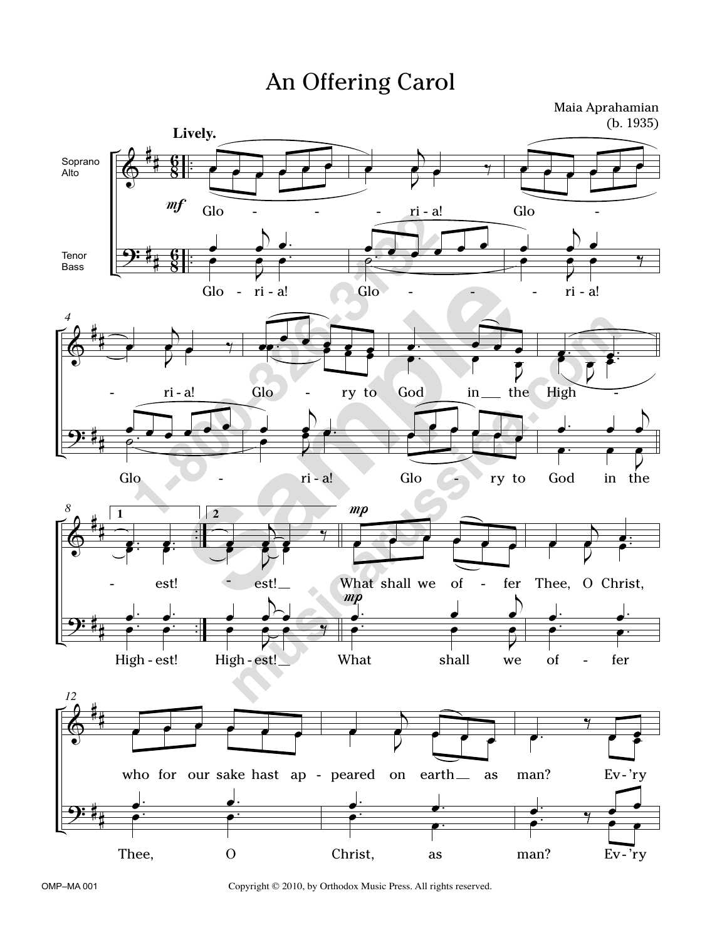## An Offering Carol



OMP–MA 001 Copyright © 2010, by Orthodox Music Press. All rights reserved.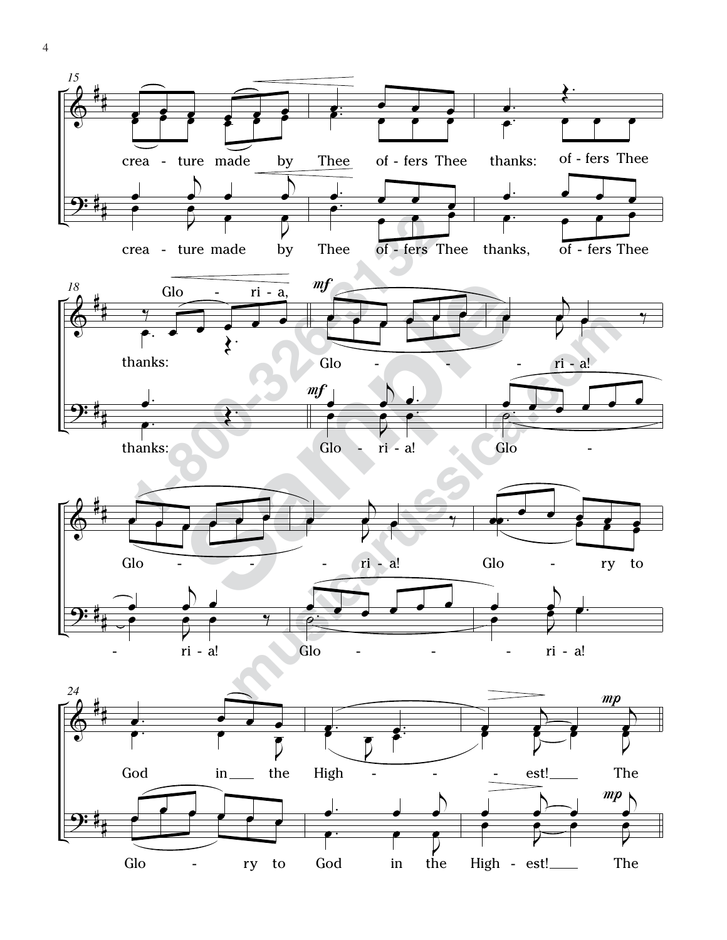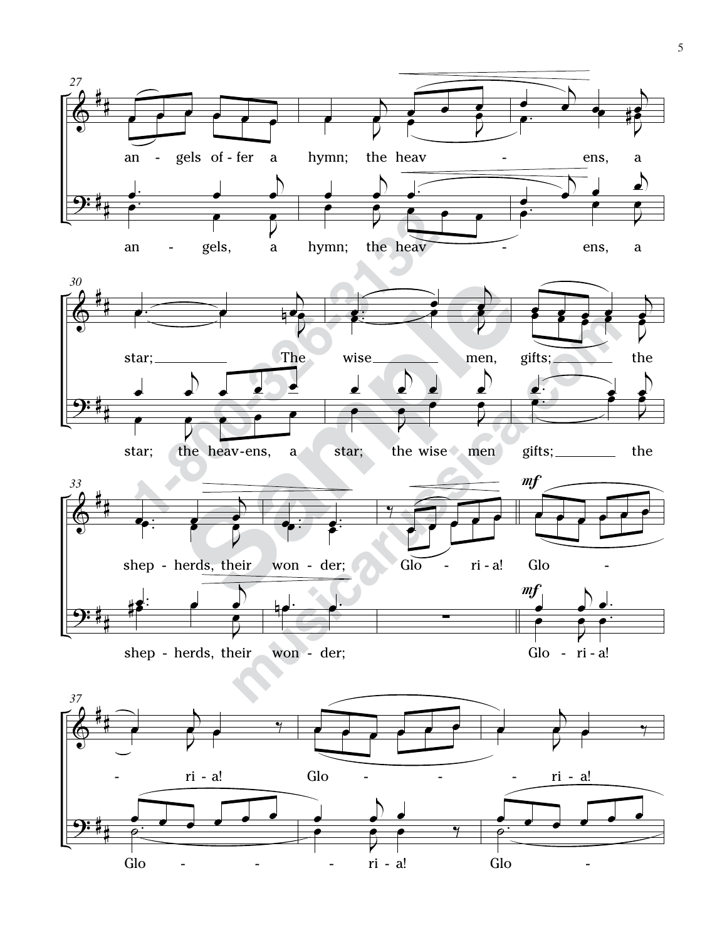